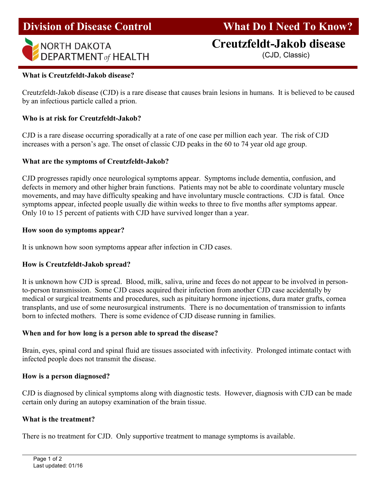#### I Division of Disease Control What Do I Need To Know?



# NORTH DAKOTA **Creutzfeldt-Jakob disease**

## What is Creutzfeldt-Jakob disease?

Creutzfeldt-Jakob disease (CJD) is a rare disease that causes brain lesions in humans. It is believed to be caused by an infectious particle called a prion.

#### Who is at risk for Creutzfeldt-Jakob?

CJD is a rare disease occurring sporadically at a rate of one case per million each year. The risk of CJD increases with a person's age. The onset of classic CJD peaks in the 60 to 74 year old age group.

#### What are the symptoms of Creutzfeldt-Jakob?

CJD progresses rapidly once neurological symptoms appear. Symptoms include dementia, confusion, and defects in memory and other higher brain functions. Patients may not be able to coordinate voluntary muscle movements, and may have difficulty speaking and have involuntary muscle contractions. CJD is fatal. Once symptoms appear, infected people usually die within weeks to three to five months after symptoms appear. Only 10 to 15 percent of patients with CJD have survived longer than a year.

#### How soon do symptoms appear?

It is unknown how soon symptoms appear after infection in CJD cases.

#### How is Creutzfeldt-Jakob spread?

It is unknown how CJD is spread. Blood, milk, saliva, urine and feces do not appear to be involved in personto-person transmission. Some CJD cases acquired their infection from another CJD case accidentally by medical or surgical treatments and procedures, such as pituitary hormone injections, dura mater grafts, cornea transplants, and use of some neurosurgical instruments. There is no documentation of transmission to infants born to infected mothers. There is some evidence of CJD disease running in families.

#### When and for how long is a person able to spread the disease?

Brain, eyes, spinal cord and spinal fluid are tissues associated with infectivity. Prolonged intimate contact with infected people does not transmit the disease.

#### How is a person diagnosed?

CJD is diagnosed by clinical symptoms along with diagnostic tests. However, diagnosis with CJD can be made certain only during an autopsy examination of the brain tissue.

#### What is the treatment?

There is no treatment for CJD. Only supportive treatment to manage symptoms is available.